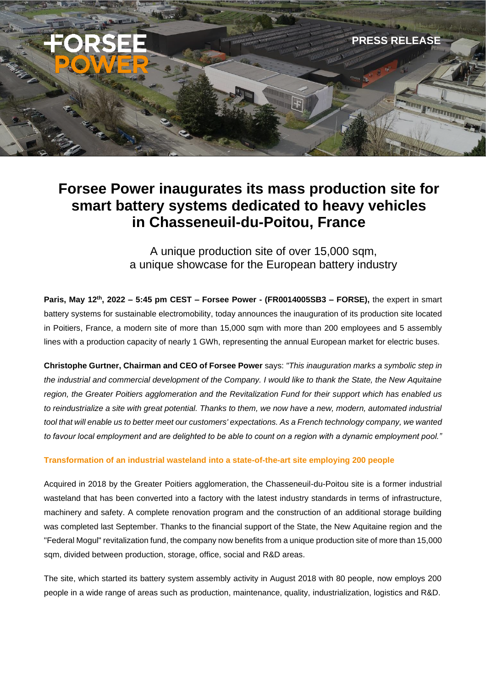

# **Forsee Power inaugurates its mass production site for smart battery systems dedicated to heavy vehicles in Chasseneuil-du-Poitou, France**

A unique production site of over 15,000 sqm, a unique showcase for the European battery industry

**Paris, May 12th, 2022 – 5:45 pm CEST – Forsee Power - (FR0014005SB3 – FORSE),** the expert in smart battery systems for sustainable electromobility, today announces the inauguration of its production site located in Poitiers, France, a modern site of more than 15,000 sqm with more than 200 employees and 5 assembly lines with a production capacity of nearly 1 GWh, representing the annual European market for electric buses.

**Christophe Gurtner, Chairman and CEO of Forsee Power** says: *"This inauguration marks a symbolic step in the industrial and commercial development of the Company. I would like to thank the State, the New Aquitaine region, the Greater Poitiers agglomeration and the Revitalization Fund for their support which has enabled us to reindustrialize a site with great potential. Thanks to them, we now have a new, modern, automated industrial tool that will enable us to better meet our customers' expectations. As a French technology company, we wanted to favour local employment and are delighted to be able to count on a region with a dynamic employment pool."*

### **Transformation of an industrial wasteland into a state-of-the-art site employing 200 people**

Acquired in 2018 by the Greater Poitiers agglomeration, the Chasseneuil-du-Poitou site is a former industrial wasteland that has been converted into a factory with the latest industry standards in terms of infrastructure, machinery and safety. A complete renovation program and the construction of an additional storage building was completed last September. Thanks to the financial support of the State, the New Aquitaine region and the "Federal Mogul" revitalization fund, the company now benefits from a unique production site of more than 15,000 sqm, divided between production, storage, office, social and R&D areas.

The site, which started its battery system assembly activity in August 2018 with 80 people, now employs 200 people in a wide range of areas such as production, maintenance, quality, industrialization, logistics and R&D.